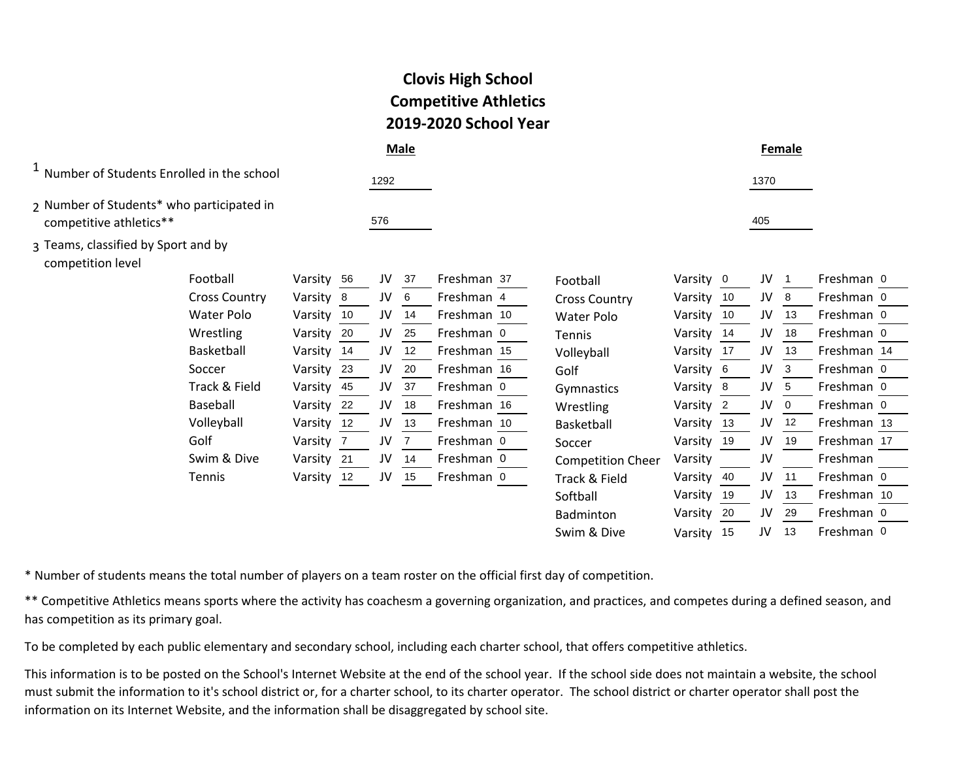| <b>Clovis High School</b>    |
|------------------------------|
| <b>Competitive Athletics</b> |
| 2019-2020 School Year        |

|                                                                      |                      |            |      | <b>Male</b> |             |                          |           |                |      | Female |             |  |
|----------------------------------------------------------------------|----------------------|------------|------|-------------|-------------|--------------------------|-----------|----------------|------|--------|-------------|--|
| <sup>1</sup> Number of Students Enrolled in the school               |                      |            | 1292 |             |             |                          |           |                | 1370 |        |             |  |
| 2 Number of Students* who participated in<br>competitive athletics** |                      |            | 576  |             |             |                          |           |                | 405  |        |             |  |
| 3 Teams, classified by Sport and by<br>competition level             |                      |            |      |             |             |                          |           |                |      |        |             |  |
|                                                                      | Football             | Varsity 56 | JV   | -37         | Freshman 37 | Football                 | Varsity 0 |                | JV   |        | Freshman 0  |  |
|                                                                      | <b>Cross Country</b> | Varsity 8  | JV   | 6           | Freshman 4  | <b>Cross Country</b>     | Varsity   | -10            | JV   | 8      | Freshman 0  |  |
|                                                                      | Water Polo           | Varsity 10 | JV   | 14          | Freshman 10 | <b>Water Polo</b>        | Varsity   | 10             | JV   | 13     | Freshman 0  |  |
|                                                                      | Wrestling            | Varsity 20 | JV   | 25          | Freshman 0  | <b>Tennis</b>            | Varsity   | 14             | JV   | 18     | Freshman 0  |  |
|                                                                      | Basketball           | Varsity 14 | JV   | 12          | Freshman 15 | Volleyball               | Varsity   | -17            | JV   | 13     | Freshman 14 |  |
|                                                                      | Soccer               | Varsity 23 | JV   | 20          | Freshman 16 | Golf                     | Varsity   | - 6            | JV   | 3      | Freshman 0  |  |
|                                                                      | Track & Field        | Varsity 45 | JV   | 37          | Freshman 0  | Gymnastics               | Varsity   | 8              | JV   | 5      | Freshman 0  |  |
|                                                                      | Baseball             | Varsity 22 | JV   | 18          | Freshman 16 | Wrestling                | Varsity   | $\overline{2}$ | JV   | 0      | Freshman 0  |  |
|                                                                      | Volleyball           | Varsity 12 | JV   | 13          | Freshman 10 | Basketball               | Varsity   | 13             | JV   | 12     | Freshman 13 |  |
|                                                                      | Golf                 | Varsity 7  | JV   |             | Freshman 0  | Soccer                   | Varsity   | 19             | JV   | 19     | Freshman 17 |  |
|                                                                      | Swim & Dive          | Varsity 21 | JV   | 14          | Freshman 0  | <b>Competition Cheer</b> | Varsity   |                | JV   |        | Freshman    |  |
|                                                                      | Tennis               | Varsity 12 | JV   | 15          | Freshman 0  | Track & Field            | Varsity   | -40            | JV   | 11     | Freshman 0  |  |
|                                                                      |                      |            |      |             |             | Softball                 | Varsity   | 19             | JV   | 13     | Freshman 10 |  |
|                                                                      |                      |            |      |             |             | Badminton                | Varsity   | 20             | JV   | 29     | Freshman 0  |  |

Swim & Dive

Varsity 15 JV 13 Freshman 0

\* Number of students means the total number of players on a team roster on the official first day of competition.

\*\* Competitive Athletics means sports where the activity has coachesm a governing organization, and practices, and competes during a defined season, and has competition as its primary goal.

To be completed by each public elementary and secondary school, including each charter school, that offers competitive athletics.

This information is to be posted on the School's Internet Website at the end of the school year. If the school side does not maintain a website, the school must submit the information to it's school district or, for a charter school, to its charter operator. The school district or charter operator shall post the information on its Internet Website, and the information shall be disaggregated by school site.